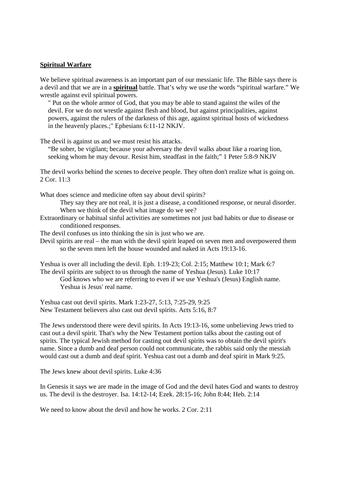## **Spiritual Warfare**

We believe spiritual awareness is an important part of our messianic life. The Bible says there is a devil and that we are in a **spiritual** battle. That's why we use the words "spiritual warfare." We wrestle against evil spiritual powers.

" Put on the whole armor of God, that you may be able to stand against the wiles of the devil. For we do not wrestle against flesh and blood, but against principalities, against powers, against the rulers of the darkness of this age, against spiritual hosts of wickedness in the heavenly places.;" Ephesians 6:11-12 NKJV.

The devil is against us and we must resist his attacks.

"Be sober, be vigilant; because your adversary the devil walks about like a roaring lion, seeking whom he may devour. Resist him, steadfast in the faith;" 1 Peter 5:8-9 NKJV

The devil works behind the scenes to deceive people. They often don't realize what is going on. 2 Cor. 11:3

What does science and medicine often say about devil spirits?

They say they are not real, it is just a disease, a conditioned response, or neural disorder. When we think of the devil what image do we see?

Extraordinary or habitual sinful activities are sometimes not just bad habits or due to disease or conditioned responses.

The devil confuses us into thinking the sin is just who we are.

Devil spirits are real – the man with the devil spirit leaped on seven men and overpowered them so the seven men left the house wounded and naked in Acts 19:13-16.

Yeshua is over all including the devil. Eph. 1:19-23; Col. 2:15; Matthew 10:1; Mark 6:7 The devil spirits are subject to us through the name of Yeshua (Jesus). Luke 10:17

God knows who we are referring to even if we use Yeshua's (Jesus) English name. Yeshua is Jesus' real name.

Yeshua cast out devil spirits. Mark 1:23-27, 5:13, 7:25-29, 9:25 New Testament believers also cast out devil spirits. Acts 5:16, 8:7

The Jews understood there were devil spirits. In Acts 19:13-16, some unbelieving Jews tried to cast out a devil spirit. That's why the New Testament portion talks about the casting out of spirits. The typical Jewish method for casting out devil spirits was to obtain the devil spirit's name. Since a dumb and deaf person could not communicate, the rabbis said only the messiah would cast out a dumb and deaf spirit. Yeshua cast out a dumb and deaf spirit in Mark 9:25.

The Jews knew about devil spirits. Luke 4:36

In Genesis it says we are made in the image of God and the devil hates God and wants to destroy us. The devil is the destroyer. Isa. 14:12-14; Ezek. 28:15-16; John 8:44; Heb. 2:14

We need to know about the devil and how he works, 2 Cor. 2:11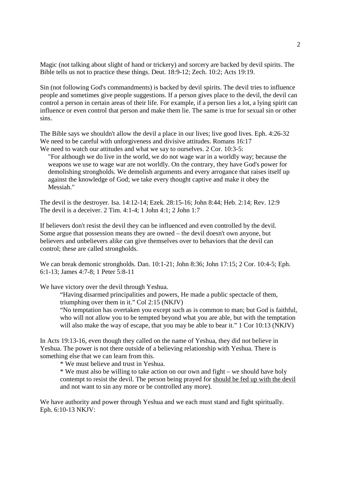Magic (not talking about slight of hand or trickery) and sorcery are backed by devil spirits. The Bible tells us not to practice these things. Deut. 18:9-12; Zech. 10:2; Acts 19:19.

Sin (not following God's commandments) is backed by devil spirits. The devil tries to influence people and sometimes give people suggestions. If a person gives place to the devil, the devil can control a person in certain areas of their life. For example, if a person lies a lot, a lying spirit can influence or even control that person and make them lie. The same is true for sexual sin or other sins.

The Bible says we shouldn't allow the devil a place in our lives; live good lives. Eph. 4:26-32 We need to be careful with unforgiveness and divisive attitudes. Romans 16:17 We need to watch our attitudes and what we say to ourselves. 2 Cor. 10:3-5:

"For although we do live in the world, we do not wage war in a worldly way; because the weapons we use to wage war are not worldly. On the contrary, they have God's power for demolishing strongholds. We demolish arguments and every arrogance that raises itself up against the knowledge of God; we take every thought captive and make it obey the Messiah."

The devil is the destroyer. Isa. 14:12-14; Ezek. 28:15-16; John 8:44; Heb. 2:14; Rev. 12:9 The devil is a deceiver. 2 Tim. 4:1-4; 1 John 4:1; 2 John 1:7

If believers don't resist the devil they can be influenced and even controlled by the devil. Some argue that possession means they are owned – the devil doesn't own anyone, but believers and unbelievers alike can give themselves over to behaviors that the devil can control; these are called strongholds.

We can break demonic strongholds. Dan. 10:1-21; John 8:36; John 17:15; 2 Cor. 10:4-5; Eph. 6:1-13; James 4:7-8; 1 Peter 5:8-11

We have victory over the devil through Yeshua.

"Having disarmed principalities and powers, He made a public spectacle of them, triumphing over them in it." Col 2:15 (NKJV)

"No temptation has overtaken you except such as is common to man; but God is faithful, who will not allow you to be tempted beyond what you are able, but with the temptation will also make the way of escape, that you may be able to bear it." 1 Cor 10:13 (NKJV)

In Acts 19:13-16, even though they called on the name of Yeshua, they did not believe in Yeshua. The power is not there outside of a believing relationship with Yeshua. There is something else that we can learn from this.

\* We must believe and trust in Yeshua.

\* We must also be willing to take action on our own and fight – we should have holy contempt to resist the devil. The person being prayed for should be fed up with the devil and not want to sin any more or be controlled any more).

We have authority and power through Yeshua and we each must stand and fight spiritually. Eph. 6:10-13 NKJV: